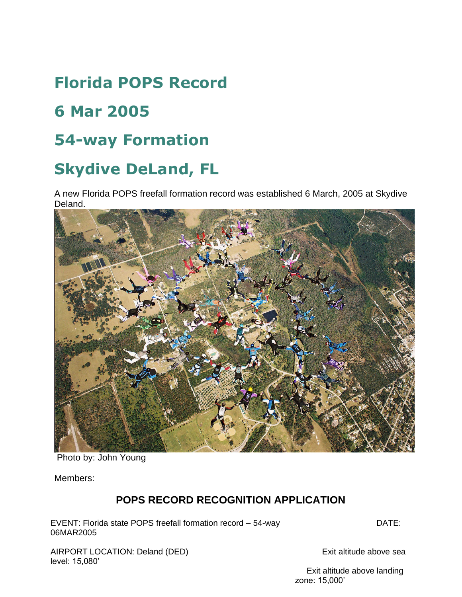# **Florida POPS Record**

## **6 Mar 2005**

### **54-way Formation**

## **Skydive DeLand, FL**

A new Florida POPS freefall formation record was established 6 March, 2005 at Skydive Deland.



Photo by: John Young

Members:

#### **POPS RECORD RECOGNITION APPLICATION**

EVENT: Florida state POPS freefall formation record – 54-way DATE: 06MAR2005

AIRPORT LOCATION: Deland (DED) Exit altitude above sea level: 15,080'

 Exit altitude above landing zone: 15,000'